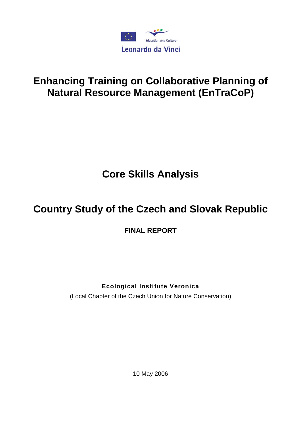

# **Enhancing Training on Collaborative Planning of Natural Resource Management (EnTraCoP)**

# **Core Skills Analysis**

# **Country Study of the Czech and Slovak Republic**

**FINAL REPORT** 

# **Ecological Institute Veronica**

(Local Chapter of the Czech Union for Nature Conservation)

10 May 2006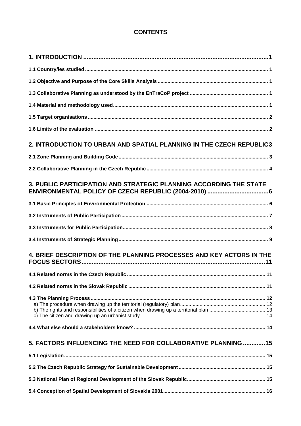# **CONTENTS**

| 2. INTRODUCTION TO URBAN AND SPATIAL PLANNING IN THE CZECH REPUBLIC3 |  |
|----------------------------------------------------------------------|--|
|                                                                      |  |
|                                                                      |  |
| 3. PUBLIC PARTICIPATION AND STRATEGIC PLANNING ACCORDING THE STATE   |  |
|                                                                      |  |
|                                                                      |  |
|                                                                      |  |
|                                                                      |  |
| 4. BRIEF DESCRIPTION OF THE PLANNING PROCESSES AND KEY ACTORS IN THE |  |
|                                                                      |  |
|                                                                      |  |
|                                                                      |  |
|                                                                      |  |
| 5. FACTORS INFLUENCING THE NEED FOR COLLABORATIVE PLANNING 15        |  |
|                                                                      |  |
|                                                                      |  |
|                                                                      |  |
|                                                                      |  |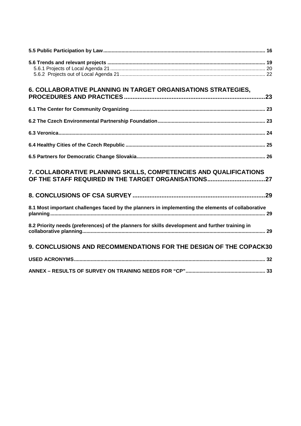| 6. COLLABORATIVE PLANNING IN TARGET ORGANISATIONS STRATEGIES,                                     |
|---------------------------------------------------------------------------------------------------|
|                                                                                                   |
|                                                                                                   |
|                                                                                                   |
|                                                                                                   |
|                                                                                                   |
| 7. COLLABORATIVE PLANNING SKILLS, COMPETENCIES AND QUALIFICATIONS                                 |
|                                                                                                   |
| 8.1 Most important challenges faced by the planners in implementing the elements of collaborative |
| 8.2 Priority needs (preferences) of the planners for skills development and further training in   |
| <b>9. CONCLUSIONS AND RECOMMENDATIONS FOR THE DESIGN OF THE COPACK30</b>                          |
|                                                                                                   |
|                                                                                                   |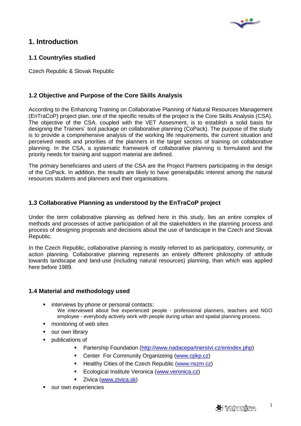

# **1. Introduction**

# **1.1 Country/ies studied**

Czech Republic & Slovak Republic

# **1.2 Objective and Purpose of the Core Skills Analysis**

According to the Enhancing Training on Collaborative Planning of Natural Resources Management (EnTraCoP) project plan, one of the specific results of the project is the Core Skills Analysis (CSA). The objective of the CSA, coupled with the VET Assesment, is to establish a solid basis for designing the Trainers´ tool package on collaborative planning (CoPack). The purpose of the study is to provide a comprehensive analysis of the working life requirements, the current situation and perceived needs and priorities of the planners in the target sectors of training on collaborative planning. In the CSA, a systematic framework of collaborative planning is formulated and the priority needs for training and support material are defined.

The primary beneficiares and users of the CSA are the Project Partners participating in the design of the CoPack. In addition, the results are likely to have generalpublic interest among the natural resources students and planners and their organisations.

## **1.3 Collaborative Planning as understood by the EnTraCoP project**

Under the term collaborative planning as defined here in this study, lies an entire complex of methods and processes of active participation of all the stakeholders in the planning process and process of designing proposals and decisions about the use of landscape in the Czech and Slovak Republic.

In the Czech Republic, collaborative planning is mostly referred to as participatory, community, or action planning. Collaborative planning represents an entirely different philosophy of attitude towards landscape and land-use (including natural resources) planning, than which was applied here before 1989.

## **1.4 Material and methodology used**

- **EXECUTE:** interviews by phone or personal contacts: We interviewed about five experienced people - professional planners, teachers and NGO employee - everybody actively work with people during urban and spatial planning process.
- **n** monitoring of web sites
- **•** our own library
- **publications of** 
	- **Partership Foundation (http://www.nadacepartnerstvi.cz/enindex.php)**
	- Center For Community Organizeing (www.cpkp.cz)
	- Healthy Cities of the Czech Republic (www.nszm.cz)
	- **Ecological Institute Veronica (www.veronica.cz)**
	- Zivica (www.zivica.sk)
- our own experiencies

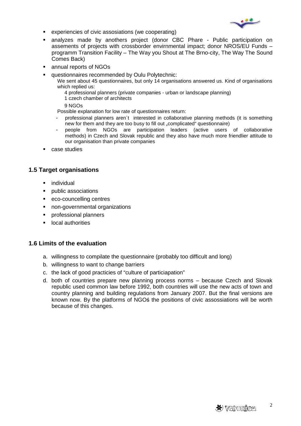

- experiencies of civic assosiations (we cooperating)
- analyzes made by anothers project (donor CBC Phare Public participation on assements of projects with crossborder envirnmental impact; donor NROS/EU Funds – programm Transition Facility – The Way you Shout at The Brno-city, The Way The Sound Comes Back)
- annual reports of NGOs
- questionnaires recommended by Oulu Polytechnic:

We sent about 45 questionnaires, but only 14 organisations answered us. Kind of organisations which replied us:

- 4 professional planners (private companies urban or landscape planning)
- 1 czech chamber of architects
- 9 NGOs

Possible explanation for low rate of questionnaires return:

- professional planners aren´t interested in collaborative planning methods (it is something new for them and they are too busy to fill out "complicated" questionnaire)
- people from NGOs are participation leaders (active users of collaborative methods) in Czech and Slovak republic and they also have much more friendlier attitude to our organisation than private companies
- case studies

# **1.5 Target organisations**

- individual
- **public associations**
- eco-councelling centres
- non-governmental organizations
- professional planners
- **Local authorities**

#### **1.6 Limits of the evaluation**

- a. willingness to compilate the questionnaire (probably too difficult and long)
- b. willingness to want to change barriers
- c. the lack of good practicies of "culture of particiapation"
- d. both of countries prepare new planning process norms because Czech and Slovak republic used common law before 1992, both countries will use the new acts of town and country planning and building regulations from January 2007. But the final versions are known now. By the platforms of NGOś the positions of civic assossiations will be worth because of this changes.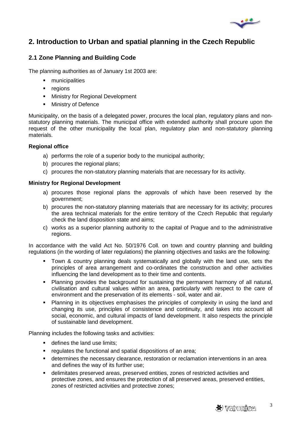

# **2. Introduction to Urban and spatial planning in the Czech Republic**

# **2.1 Zone Planning and Building Code**

The planning authorities as of January 1st 2003 are:

- **nunicipalities**
- **•** regions
- **Ministry for Regional Development**
- **Ministry of Defence**

Municipality, on the basis of a delegated power, procures the local plan, regulatory plans and nonstatutory planning materials. The municipal office with extended authority shall procure upon the request of the other municipality the local plan, regulatory plan and non-statutory planning materials.

#### **Regional office**

- a) performs the role of a superior body to the municipal authority;
- b) procures the regional plans;
- c) procures the non-statutory planning materials that are necessary for its activity.

#### **Ministry for Regional Development**

- a) procures those regional plans the approvals of which have been reserved by the government;
- b) procures the non-statutory planning materials that are necessary for its activity; procures the area technical materials for the entire territory of the Czech Republic that regularly check the land disposition state and aims;
- c) works as a superior planning authority to the capital of Prague and to the administrative regions.

In accordance with the valid Act No. 50/1976 Coll. on town and country planning and building regulations (in the wording of later regulations) the planning objectives and tasks are the following:

- Town & country planning deals systematically and globally with the land use, sets the principles of area arrangement and co-ordinates the construction and other activities influencing the land development as to their time and contents.
- Planning provides the background for sustaining the permanent harmony of all natural, civilisation and cultural values within an area, particularly with respect to the care of environment and the preservation of its elements - soil, water and air.
- Planning in its objectives emphasises the principles of complexity in using the land and changing its use, principles of consistence and continuity, and takes into account all social, economic, and cultural impacts of land development. It also respects the principle of sustainable land development.

Planning includes the following tasks and activities:

- **defines the land use limits:**
- **Figure 1** regulates the functional and spatial dispositions of an area;
- determines the necessary clearance, restoration or reclamation interventions in an area and defines the way of its further use;
- delimitates preserved areas, preserved entities, zones of restricted activities and protective zones, and ensures the protection of all preserved areas, preserved entities, zones of restricted activities and protective zones;

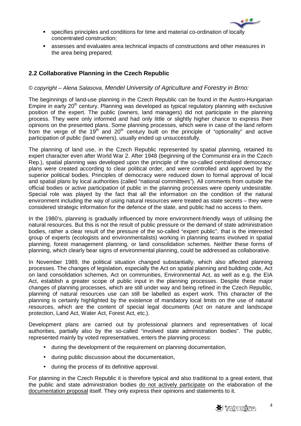

- specifies principles and conditions for time and material co-ordination of locally concentrated construction;
- assesses and evaluates area technical impacts of constructions and other measures in the area being prepared;

# **2.2 Collaborative Planning in the Czech Republic**

## © copyright – Alena Salasova, Mendel University of Agriculture and Forestry in Brno:

The beginnings of land-use planning in the Czech Republic can be found in the Austro-Hungarian Empire in early 20<sup>th</sup> century. Planning was developed as typical regulatory planning with exclusive position of the expert. The public (owners, land managers) did not participate in the planning process. They were only informed and had only little or slightly higher chance to express their opinions on the presented plans. Some planning processes, which were in case of the land reform from the verge of the 19<sup>th</sup> and 20<sup>th</sup> century built on the principle of "optionality" and active participation of public (land owners), usually ended up unsuccessfully.

The planning of land use, in the Czech Republic represented by spatial planning, retained its expert character even after World War 2. After 1948 (beginning of the Communist era in the Czech Rep.), spatial planning was developed upon the principle of the so-called centralised democracy: plans were created according to clear political order, and were controlled and approved by the superior political bodies. Principles of democracy were reduced down to formal approval of local and spatial plans by local authorities (called "national committees"). All comments from outside the official bodies or active participation of public in the planning processes were openly undesirable. Special role was played by the fact that all the information on the condition of the natural environment including the way of using natural resources were treated as state secrets – they were considered strategic information for the defence of the state, and public had no access to them.

In the 1980's, planning is gradually influenced by more environment-friendly ways of utilising the natural resources. But this is not the result of public pressure or the demand of state administration bodies, rather a clear result of the pressure of the so-called "expert public", that is the interested group of experts (ecologists and environmentalists) working in planning teams involved in spatial planning, forest management planning, or land consolidation schemes. Neither these forms of planning, which clearly bear signs of environmental planning, could be addressed as collaborative.

In November 1989, the political situation changed substantially, which also affected planning processes. The changes of legislation, especially the Act on spatial planning and building code, Act on land consolidation schemes, Act on communities, Environmental Act, as well as e.g. the EIA Act, establish a greater scope of public input in the planning processes. Despite these major changes of planning processes, which are still under way and being refined in the Czech Republic, planning of natural resources use can still be labelled as expert work. This character of the planning is certainly highlighted by the existence of mandatory local limits on the use of natural resources, which are the content of special legal documents (Act on nature and landscape protection, Land Act, Water Act, Forest Act, etc.).

Development plans are carried out by professional planners and representatives of local authorities, partially also by the so-called "involved state administration bodies". The public, represented mainly by voted representatives, enters the planning process:

- during the development of the requirement on planning documentation,
- during public discussion about the documentation,
- during the process of its definitive approval.

For planning in the Czech Republic it is therefore typical and also traditional to a great extent, that the public and state administration bodies do not actively participate on the elaboration of the documentation proposal itself. They only express their opinions and statements to it.

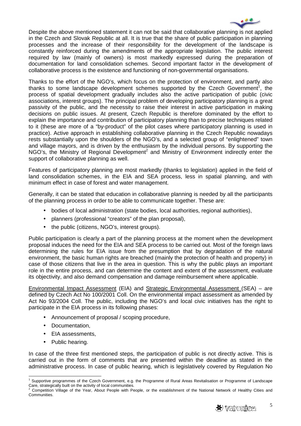

Despite the above mentioned statement it can not be said that collaborative planning is not applied in the Czech and Slovak Republic at all. It is true that the share of public participation in planning processes and the increase of their responsibility for the development of the landscape is constantly reinforced during the amendments of the appropriate legislation. The public interest required by law (mainly of owners) is most markedly expressed during the preparation of documentation for land consolidation schemes. Second important factor in the development of collaborative process is the existence and functioning of non-governmental organisations.

Thanks to the effort of the NGO's, which focus on the protection of environment, and partly also thanks to some landscape development schemes supported by the Czech Government<sup>1</sup>, the process of spatial development gradually includes also the active participation of public (civic associations, interest groups). The principal problem of developing participatory planning is a great passivity of the public, and the necessity to raise their interest in active participation in making decisions on public issues. At present, Czech Republic is therefore dominated by the effort to explain the importance and contribution of participatory planning than to precise techniques related to it (these are more of a "by-product" of the pilot cases where participatory planning is used in practice). Active approach in establishing collaborative planning in the Czech Republic nowadays rests substantially upon the shoulders of the NGO's, and a selected group of "enlightened" town and village mayors, and is driven by the enthusiasm by the individual persons. By supporting the NGO's, the Ministry of Regional Development<sup>2</sup> and Ministry of Environment indirectly enter the support of collaborative planning as well.

Features of participatory planning are most markedly (thanks to legislation) applied in the field of land consolidation schemes, in the EIA and SEA process, less in spatial planning, and with minimum effect in case of forest and water management.

Generally, it can be stated that education in collaborative planning is needed by all the participants of the planning process in order to be able to communicate together. These are:

- bodies of local administration (state bodies, local authorities, regional authorities),
- planners (professional "creators" of the plan proposal),
- the public (citizens, NGO's, interest groups).

Public participation is clearly a part of the planning process at the moment when the development proposal induces the need for the EIA and SEA process to be carried out. Most of the foreign laws determining the rules for EIA issue from the presumption that by degradation of the natural environment, the basic human rights are breached (mainly the protection of health and property) in case of those citizens that live in the area in question. This is why the public plays an important role in the entire process, and can determine the content and extent of the assessment, evaluate its objectivity, and also demand compensation and damage reimbursement where applicable.

Environmental Impact Assessment (EIA) and Strategic Environmental Assessment (SEA) – are defined by Czech Act No 100/2001 Coll. On the environmental impact assessment as amended by Act No 93/2004 Coll. The public, including the NGO's and local civic initiatives has the right to participate in the EIA process in its following phases:

- Announcement of proposal / scoping procedure,
- Documentation,
- EIA assessments,
- Public hearing.

In case of the three first mentioned steps, the participation of public is not directly active. This is carried out in the form of comments that are presented within the deadline as stated in the administrative process. In case of public hearing, which is legislatively covered by Regulation No

Competition Village of the Year, About People with People, or the establishment of the National Network of Healthy Cities and Communities.



 1 Supportive programmes of the Czech Government, e.g. the Programme of Rural Areas Revitalisation or Programme of Landscape Care, strategically built on the activity of local communities.<br><sup>2</sup> Compatition Village of the Year, About Beeple with Be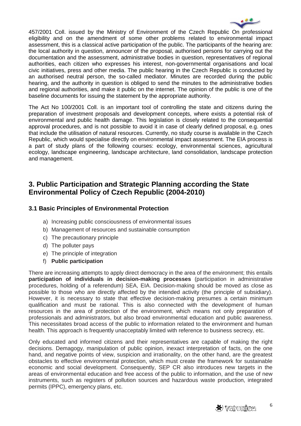

457/2001 Coll. issued by the Ministry of Environment of the Czech Republic On professional eligibility and on the amendment of some other problems related to environmental impact assessment, this is a classical active participation of the public. The participants of the hearing are: the local authority in question, announcer of the proposal, authorised persons for carrying out the documentation and the assessment, administrative bodies in question, representatives of regional authorities, each citizen who expresses his interest, non-governmental organisations and local civic initiatives, press and other media. The public hearing in the Czech Republic is conducted by an authorised neutral person, the so-called mediator. Minutes are recorded during the public hearing, and the authority in question is obliged to send the minutes to the administrative bodies and regional authorities, and make it public on the internet. The opinion of the public is one of the baseline documents for issuing the statement by the appropriate authority.

The Act No 100/2001 Coll. is an important tool of controlling the state and citizens during the preparation of investment proposals and development concepts, where exists a potential risk of environmental and public health damage. This legislation is closely related to the consequential approval procedures, and is not possible to avoid it in case of clearly defined proposal, e.g. ones that include the utilisation of natural resources. Currently, no study course is available in the Czech Republic, which would specialise directly on environmental impact assessment. The EIA process is a part of study plans of the following courses: ecology, environmental sciences, agricultural ecology, landscape engineering, landscape architecture, land consolidation, landscape protection and management.

# **3. Public Participation and Strategic Planning according the State Environmental Policy of Czech Republic (2004-2010)**

# **3.1 Basic Principles of Environmental Protection**

- a) Increasing public consciousness of environmental issues
- b) Management of resources and sustainable consumption
- c) The precautionary principle
- d) The polluter pays
- e) The principle of integration
- f) **Public participation**

There are increasing attempts to apply direct democracy in the area of the environment; this entails **participation of individuals in decision-making processes** (participation in administrative procedures, holding of a referendum) SEA, EIA. Decision-making should be moved as close as possible to those who are directly affected by the intended activity (the principle of subsidiary). However, it is necessary to state that effective decision-making presumes a certain minimum qualification and must be rational. This is also connected with the development of human resources in the area of protection of the environment, which means not only preparation of professionals and administrators, but also broad environmental education and public awareness. This necessitates broad access of the public to information related to the environment and human health. This approach is frequently unacceptably limited with reference to business secrecy, etc.

Only educated and informed citizens and their representatives are capable of making the right decisions. Demagogy, manipulation of public opinion, inexact interpretation of facts, on the one hand, and negative points of view, suspicion and irrationality, on the other hand, are the greatest obstacles to effective environmental protection, which must create the framework for sustainable economic and social development. Consequently, SEP CR also introduces new targets in the areas of environmental education and free access of the public to information, and the use of new instruments, such as registers of pollution sources and hazardous waste production, integrated permits (IPPC), emergency plans, etc.

6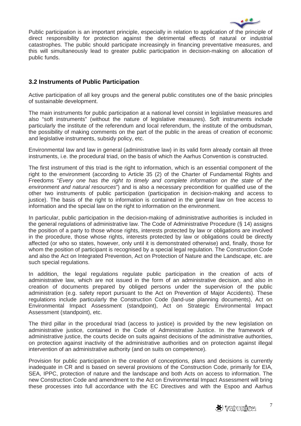

Public participation is an important principle, especially in relation to application of the principle of direct responsibility for protection against the detrimental effects of natural or industrial catastrophes. The public should participate increasingly in financing preventative measures, and this will simultaneously lead to greater public participation in decision-making on allocation of public funds.

## **3.2 Instruments of Public Participation**

Active participation of all key groups and the general public constitutes one of the basic principles of sustainable development.

The main instruments for public participation at a national level consist in legislative measures and also "soft instruments" (without the nature of legislative measures). Soft instruments include particularly the institute of the referendum and local referendum, the institute of the ombudsman, the possibility of making comments on the part of the public in the areas of creation of economic and legislative instruments, subsidy policy, etc.

Environmental law and law in general (administrative law) in its valid form already contain all three instruments, i.e. the procedural triad, on the basis of which the Aarhus Convention is constructed.

The first instrument of this triad is the right to information, which is an essential component of the right to the environment (according to Article 35 (2) of the Charter of Fundamental Rights and Freedoms "Every one has the right to timely and complete information on the state of the environment and natural resources") and is also a necessary precondition for qualified use of the other two instruments of public participation (participation in decision-making and access to justice). The basis of the right to information is contained in the general law on free access to information and the special law on the right to information on the environment.

In particular, public participation in the decision-making of administrative authorities is included in the general regulations of administrative law. The Code of Administrative Procedure (§ 14) assigns the position of a party to those whose rights, interests protected by law or obligations are involved in the procedure, those whose rights, interests protected by law or obligations could be directly affected (or who so states, however, only until it is demonstrated otherwise) and, finally, those for whom the position of participant is recognised by a special legal regulation. The Construction Code and also the Act on Integrated Prevention, Act on Protection of Nature and the Landscape, etc. are such special regulations.

In addition, the legal regulations regulate public participation in the creation of acts of administrative law, which are not issued in the form of an administrative decision, and also in creation of documents prepared by obliged persons under the supervision of the public administration (e.g. safety report pursuant to the Act on Prevention of Major Accidents). These regulations include particularly the Construction Code (land-use planning documents), Act on Environmental Impact Assessment (standpoint), Act on Strategic Environmental Impact Assessment (standpoint), etc.

The third pillar in the procedural triad (access to justice) is provided by the new legislation on administrative justice, contained in the Code of Administrative Justice. In the framework of administrative justice, the courts decide on suits against decisions of the administrative authorities, on protection against inactivity of the administrative authorities and on protection against illegal intervention of an administrative authority (and on suits on competence).

Provision for public participation in the creation of conceptions, plans and decisions is currently inadequate in CR and is based on several provisions of the Construction Code, primarily for EIA, SEA, IPPC, protection of nature and the landscape and both Acts on access to information. The new Construction Code and amendment to the Act on Environmental Impact Assessment will bring these processes into full accordance with the EC Directives and with the Espoo and Aarhus



7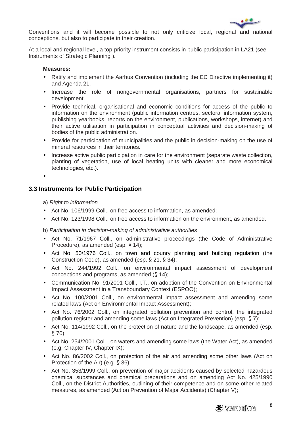

Conventions and it will become possible to not only criticize local, regional and national conceptions, but also to participate in their creation.

At a local and regional level, a top-priority instrument consists in public participation in LA21 (see Instruments of Strategic Planning ).

#### **Measures:**

- Ratify and implement the Aarhus Convention (including the EC Directive implementing it) and Agenda 21.
- Increase the role of nongovernmental organisations, partners for sustainable development.
- Provide technical, organisational and economic conditions for access of the public to information on the environment (public information centres, sectoral information system, publishing yearbooks, reports on the environment, publications, workshops, internet) and their active utilisation in participation in conceptual activities and decision-making of bodies of the public administration.
- Provide for participation of municipalities and the public in decision-making on the use of mineral resources in their territories.
- Increase active public participation in care for the environment (separate waste collection, planting of vegetation, use of local heating units with cleaner and more economical technologies, etc.).

•

## **3.3 Instruments for Public Participation**

a) Right to information

- Act No. 106/1999 Coll., on free access to information, as amended;
- Act No. 123/1998 Coll., on free access to information on the environment, as amended.

b) Participation in decision-making of administrative authorities

- Act No. 71/1967 Coll., on administrative proceedings (the Code of Administrative Procedure), as amended (esp. § 14);
- Act No. 50/1976 Coll., on town and counry planning and building regulation (the Construction Code), as amended (esp. § 21, § 34);
- Act No. 244/1992 Coll., on environmental impact assessment of development conceptions and programs, as amended (§ 14);
- Communication No. 91/2001 Coll., I.T., on adoption of the Convention on Environmental Impact Assessment in a Transboundary Context (ESPOO);
- Act No. 100/2001 Coll., on environmental impact assessment and amending some related laws (Act on Environmental Impact Assessment);
- Act No. 76/2002 Coll., on integrated pollution prevention and control, the integrated pollution register and amending some laws (Act on Integrated Prevention) (esp. § 7);
- Act No. 114/1992 Coll., on the protection of nature and the landscape, as amended (esp. § 70);
- Act No. 254/2001 Coll., on waters and amending some laws (the Water Act), as amended (e.g. Chapter IV, Chapter IX);
- Act No. 86/2002 Coll., on protection of the air and amending some other laws (Act on Protection of the Air) (e.g. § 36);
- Act No. 353/1999 Coll., on prevention of major accidents caused by selected hazardous chemical substances and chemical preparations and on amending Act No. 425/1990 Coll., on the District Authorities, outlining of their competence and on some other related measures, as amended (Act on Prevention of Major Accidents) (Chapter V);

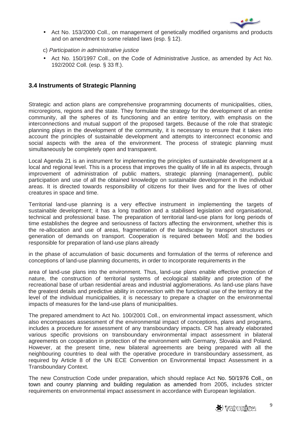

- Act No. 153/2000 Coll., on management of genetically modified organisms and products and on amendment to some related laws (esp. § 12).
- c) Participation in administrative justice
- Act No. 150/1997 Coll., on the Code of Administrative Justice, as amended by Act No. 192/2002 Coll. (esp. § 33 ff.).

## **3.4 Instruments of Strategic Planning**

Strategic and action plans are comprehensive programming documents of municipalities, cities, microregions, regions and the state. They formulate the strategy for the development of an entire community, all the spheres of its functioning and an entire territory, with emphasis on the interconnections and mutual support of the proposed targets. Because of the role that strategic planning plays in the development of the community, it is necessary to ensure that it takes into account the principles of sustainable development and attempts to interconnect economic and social aspects with the area of the environment. The process of strategic planning must simultaneously be completely open and transparent.

Local Agenda 21 is an instrument for implementing the principles of sustainable development at a local and regional level. This is a process that improves the quality of life in all its aspects, through improvement of administration of public matters, strategic planning (management), public participation and use of all the obtained knowledge on sustainable development in the individual areas. It is directed towards responsibility of citizens for their lives and for the lives of other creatures in space and time.

Territorial land-use planning is a very effective instrument in implementing the targets of sustainable development; it has a long tradition and a stabilised legislation and organisational, technical and professional base. The preparation of territorial land-use plans for long periods of time establishes the degree and seriousness of factors affecting the environment, whether this is the re-allocation and use of areas, fragmentation of the landscape by transport structures or generation of demands on transport. Cooperation is required between MoE and the bodies responsible for preparation of land-use plans already

in the phase of accumulation of basic documents and formulation of the terms of reference and conceptions of land-use planning documents, in order to incorporate requirements in the

area of land-use plans into the environment. Thus, land-use plans enable effective protection of nature, the construction of territorial systems of ecological stability and protection of the recreational base of urban residential areas and industrial agglomerations. As land-use plans have the greatest details and predictive ability in connection with the functional use of the territory at the level of the individual municipalities, it is necessary to prepare a chapter on the environmental impacts of measures for the land-use plans of municipalities.

The prepared amendment to Act No. 100/2001 Coll., on environmental impact assessment, which also encompasses assessment of the environmental impact of conceptions, plans and programs, includes a procedure for assessment of any transboundary impacts. CR has already elaborated various specific provisions on transboundary environmental impact assessment in bilateral agreements on cooperation in protection of the environment with Germany, Slovakia and Poland. However, at the present time, new bilateral agreements are being prepared with all the neighbouring countries to deal with the operative procedure in transboundary assessment, as required by Article 8 of the UN ECE Convention on Environmental Impact Assessment in a Transboundary Context.

The new Construction Code under preparation, which should replace Act No. 50/1976 Coll., on town and counry planning and building regulation as amended from 2005, includes stricter requirements on environmental impact assessment in accordance with European legislation.

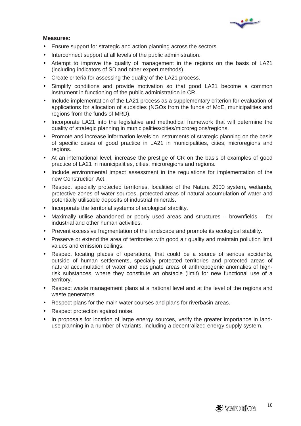

#### **Measures:**

- Ensure support for strategic and action planning across the sectors.
- Interconnect support at all levels of the public administration.
- Attempt to improve the quality of management in the regions on the basis of LA21 (including indicators of SD and other expert methods).
- Create criteria for assessing the quality of the LA21 process.
- Simplify conditions and provide motivation so that good LA21 become a common instrument in functioning of the public administration in CR.
- Include implementation of the LA21 process as a supplementary criterion for evaluation of applications for allocation of subsidies (NGOs from the funds of MoE, municipalities and regions from the funds of MRD).
- Incorporate LA21 into the legislative and methodical framework that will determine the quality of strategic planning in municipalities/cities/microregions/regions.
- Promote and increase information levels on instruments of strategic planning on the basis of specific cases of good practice in LA21 in municipalities, cities, microregions and regions.
- At an international level, increase the prestige of CR on the basis of examples of good practice of LA21 in municipalities, cities, microregions and regions.
- Include environmental impact assessment in the regulations for implementation of the new Construction Act.
- Respect specially protected territories, localities of the Natura 2000 system, wetlands, protective zones of water sources, protected areas of natural accumulation of water and potentially utilisable deposits of industrial minerals.
- Incorporate the territorial systems of ecological stability.
- Maximally utilise abandoned or poorly used areas and structures brownfields for industrial and other human activities.
- Prevent excessive fragmentation of the landscape and promote its ecological stability.
- Preserve or extend the area of territories with good air quality and maintain pollution limit values and emission ceilings.
- Respect locating places of operations, that could be a source of serious accidents, outside of human settlements, specially protected territories and protected areas of natural accumulation of water and designate areas of anthropogenic anomalies of highrisk substances, where they constitute an obstacle (limit) for new functional use of a territory.
- Respect waste management plans at a national level and at the level of the regions and waste generators.
- Respect plans for the main water courses and plans for riverbasin areas.
- Respect protection against noise.
- In proposals for location of large energy sources, verify the greater importance in landuse planning in a number of variants, including a decentralized energy supply system.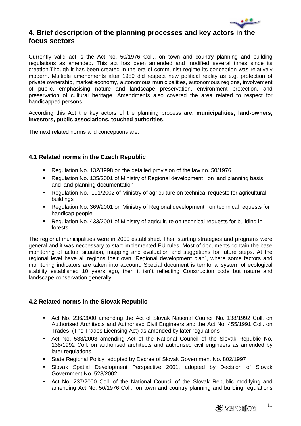

# **4. Brief description of the planning processes and key actors in the focus sectors**

Currently valid act is the Act No. 50/1976 Coll., on town and country planning and building regulations as amended. This act has been amended and modified several times since its creation.Though it has been created in the era of communist regime its conception was relatively modern. Multiple amendments after 1989 did respect new political reality as e.g. protection of private ownership, market economy, autonomous municipalities, autonomous regions, involvement of public, emphasising nature and landscape preservation, environment protection, and preservation of cultural heritage. Amendments also covered the area related to respect for handicapped persons.

According this Act the key actors of the planning process are: **municipalities, land-owners, investors, public associations, touched authorities**.

The next related norms and conceptions are:

## **4.1 Related norms in the Czech Republic**

- Regulation No. 132/1998 on the detailed provision of the law no. 50/1976
- Regulation No. 135/2001 of Ministry of Regional development on land planning basis and land planning documentation
- Regulation No. 191/2002 of Ministry of agriculture on technical requests for agricultural buildings
- Regulation No. 369/2001 on Ministry of Regional development on technical requests for handicap people
- Regulation No. 433/2001 of Ministry of agriculture on technical requests for building in forests

The regional municipalities were in 2000 established. Then starting strategies and programs were general and it was neccessary to start implemented EU rules. Most of documents contain the base monitoring of actual situation, mapping and evaluation and suggetions for future steps. At the regional level have all regions their own "Regional development plan", where some factors and monitoring indicators are taken into account. Special document is territorial system of ecological stability established 10 years ago, then it isn´t reflecting Construction code but nature and landscape conservation generally.

## **4.2 Related norms in the Slovak Republic**

- Act No. 236/2000 amending the Act of Slovak National Council No. 138/1992 Coll. on Authorised Architects and Authorised Civil Engineers and the Act No. 455/1991 Coll. on Trades (The Trades Licensing Act) as amended by later regulations
- Act No. 533/2003 amending Act of the National Council of the Slovak Republic No. 138/1992 Coll. on authorised architects and authorised civil engineers as amended by later regulations
- State Regional Policy, adopted by Decree of Slovak Government No. 802/1997
- Slovak Spatial Development Perspective 2001, adopted by Decision of Slovak Government No. 528/2002
- Act No. 237/2000 Coll. of the National Council of the Slovak Republic modifying and amending Act No. 50/1976 Coll., on town and country planning and building regulations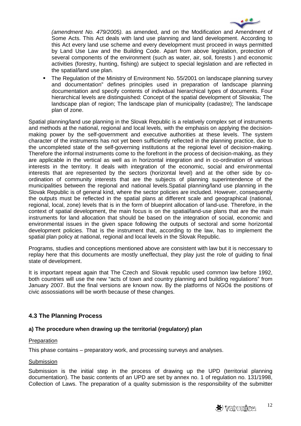

(amendment No. 479/2005). as amended, and on the Modification and Amendment of Some Acts. This Act deals with land use planning and land development. According to this Act every land use scheme and every development must proceed in ways permitted by Land Use Law and the Building Code. Apart from above legislation, protection of several components of the environment (such as water, air, soil, forests ) and economic activities (forestry, hunting, fishing) are subject to special legislation and are reflected in the spatial/land use plan.

 The Regulation of the Ministry of Environment No. 55/2001 on landscape planning survey and documentation" defines principles used in preparation of landscape planning documentation and specify contents of individual hierarchical types of documents. Four hierarchical levels are distinguished: Concept of the spatial development of Slovakia; The landscape plan of region; The landscape plan of municipality (cadastre); The landscape plan of zone.

Spatial planning/land use planning in the Slovak Republic is a relatively complex set of instruments and methods at the national, regional and local levels, with the emphasis on applying the decisionmaking power by the self-government and executive authorities at these levels. The system character of the instruments has not yet been sufficiently reflected in the planning practice, due to the uncompleted state of the self-governing institutions at the regional level of decision-making. Therefore the informal instruments come to the forefront in the process of decision-making, as they are applicable in the vertical as well as in horizontal integration and in co-ordination of various interests in the territory. It deals with integration of the economic, social and environmental interests that are represented by the sectors (horizontal level) and at the other side by coordination of community interests that are the subjects of planning superintendence of the municipalities between the regional and national levels.Spatial planning/land use planning in the Slovak Republic is of general kind, where the sector policies are included. However, consequently the outputs must be reflected in the spatial plans at different scale and geographical (national, regional, local, zone) levels that is in the form of blueprint allocation of land-use. Therefore, in the context of spatial development, the main focus is on the spatial/land-use plans that are the main instruments for land allocation that should be based on the integration of social, economic and environmental issues in the given space following the outputs of sectoral and some horizontal development policies. That is the instrument that, according to the law, has to implement the spatial plan policy at national, regional and local levels in the Slovak Republic.

Programs, studies and conceptions mentioned above are consistent with law but it is neccessary to replay here that this documents are mostly uneffectual, they play just the role of guiding to final state of development.

It is important repeat again that The Czech and Slovak republic used common law before 1992, both countries will use the new "acts of town and country planning and building regulations" from January 2007. But the final versions are known now. By the platforms of NGOś the positions of civic assossiations will be worth because of these changes.

## **4.3 The Planning Process**

#### **a) The procedure when drawing up the territorial (regulatory) plan**

#### **Preparation**

This phase contains – preparatory work, and processing surveys and analyses.

#### Submission

Submission is the initial step in the process of drawing up the UPD (territorial planning documentation). The basic contents of an UPD are set by annex no. 1 of regulation no. 131/1998, Collection of Laws. The preparation of a quality submission is the responsibility of the submitter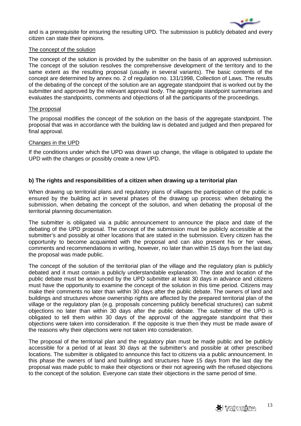

and is a prerequisite for ensuring the resulting UPD. The submission is publicly debated and every citizen can state their opinions.

#### The concept of the solution

The concept of the solution is provided by the submitter on the basis of an approved submission. The concept of the solution resolves the comprehensive development of the territory and to the same extent as the resulting proposal (usually in several variants). The basic contents of the concept are determined by annex no. 2 of regulation no. 131/1998, Collection of Laws. The results of the debating of the concept of the solution are an aggregate standpoint that is worked out by the submitter and approved by the relevant approval body. The aggregate standpoint summarises and evaluates the standpoints, comments and objections of all the participants of the proceedings.

#### The proposal

The proposal modifies the concept of the solution on the basis of the aggregate standpoint. The proposal that was in accordance with the building law is debated and judged and then prepared for final approval.

#### Changes in the UPD

If the conditions under which the UPD was drawn up change, the village is obligated to update the UPD with the changes or possibly create a new UPD.

#### **b) The rights and responsibilities of a citizen when drawing up a territorial plan**

When drawing up territorial plans and regulatory plans of villages the participation of the public is ensured by the building act in several phases of the drawing up process: when debating the submission, when debating the concept of the solution, and when debating the proposal of the territorial planning documentation.

The submitter is obligated via a public announcement to announce the place and date of the debating of the UPD proposal. The concept of the submission must be publicly accessible at the submitter's and possibly at other locations that are stated in the submission. Every citizen has the opportunity to become acquainted with the proposal and can also present his or her views, comments and recommendations in writing, however, no later than within 15 days from the last day the proposal was made public.

The concept of the solution of the territorial plan of the village and the regulatory plan is publicly debated and it must contain a publicly understandable explanation. The date and location of the public debate must be announced by the UPD submitter at least 30 days in advance and citizens must have the opportunity to examine the concept of the solution in this time period. Citizens may make their comments no later than within 30 days after the public debate. The owners of land and buildings and structures whose ownership rights are affected by the prepared territorial plan of the village or the regulatory plan (e.g. proposals concerning publicly beneficial structures) can submit objections no later than within 30 days after the public debate. The submitter of the UPD is obligated to tell them within 30 days of the approval of the aggregate standpoint that their objections were taken into consideration. If the opposite is true then they must be made aware of the reasons why their objections were not taken into consideration.

The proposal of the territorial plan and the regulatory plan must be made public and be publicly accessible for a period of at least 30 days at the submitter's and possible at other prescribed locations. The submitter is obligated to announce this fact to citizens via a public announcement. In this phase the owners of land and buildings and structures have 15 days from the last day the proposal was made public to make their objections or their not agreeing with the refused objections to the concept of the solution. Everyone can state their objections in the same period of time.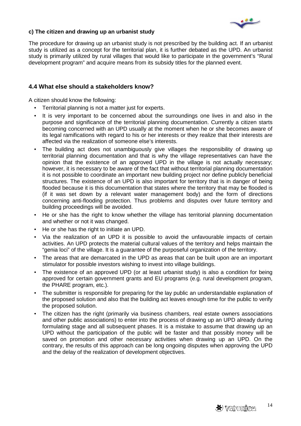

#### **c) The citizen and drawing up an urbanist study**

The procedure for drawing up an urbanist study is not prescribed by the building act. If an urbanist study is utilized as a concept for the territorial plan, it is further debated as the UPD. An urbanist study is primarily utilized by rural villages that would like to participate in the government's "Rural development program" and acquire means from its subsidy titles for the planned event.

## **4.4 What else should a stakeholders know?**

A citizen should know the following:

- Territorial planning is not a matter just for experts.
- It is very important to be concerned about the surroundings one lives in and also in the purpose and significance of the territorial planning documentation. Currently a citizen starts becoming concerned with an UPD usually at the moment when he or she becomes aware of its legal ramifications with regard to his or her interests or they realize that their interests are affected via the realization of someone else's interests.
- The building act does not unambiguously give villages the responsibility of drawing up territorial planning documentation and that is why the village representatives can have the opinion that the existence of an approved UPD in the village is not actually necessary; however, it is necessary to be aware of the fact that without territorial planning documentation it is not possible to coordinate an important new building project nor define publicly beneficial structures. The existence of an UPD is also important for territory that is in danger of being flooded because it is this documentation that states where the territory that may be flooded is (if it was set down by a relevant water management body) and the form of directions concerning anti-flooding protection. Thus problems and disputes over future territory and building proceedings will be avoided.
- He or she has the right to know whether the village has territorial planning documentation and whether or not it was changed.
- He or she has the right to initiate an UPD.
- Via the realization of an UPD it is possible to avoid the unfavourable impacts of certain activities. An UPD protects the material cultural values of the territory and helps maintain the "genia loci" of the village. It is a guarantee of the purposeful organization of the territory.
- The areas that are demarcated in the UPD as areas that can be built upon are an important stimulator for possible investors wishing to invest into village buildings.
- The existence of an approved UPD (or at least urbanist study) is also a condition for being approved for certain government grants and EU programs (e.g. rural development program, the PHARE program, etc.).
- The submitter is responsible for preparing for the lay public an understandable explanation of the proposed solution and also that the building act leaves enough time for the public to verify the proposed solution.
- The citizen has the right (primarily via business chambers, real estate owners associations and other public associations) to enter into the process of drawing up an UPD already during formulating stage and all subsequent phases. It is a mistake to assume that drawing up an UPD without the participation of the public will be faster and that possibly money will be saved on promotion and other necessary activities when drawing up an UPD. On the contrary, the results of this approach can be long ongoing disputes when approving the UPD and the delay of the realization of development objectives.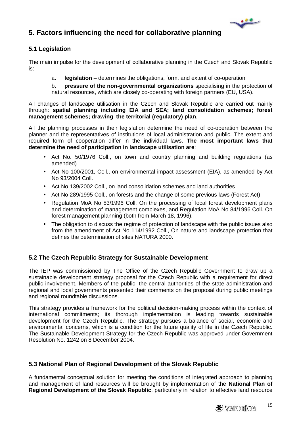

# **5. Factors influencing the need for collaborative planning**

# **5.1 Legislation**

The main impulse for the development of collaborative planning in the Czech and Slovak Republic is:

a. **legislation** – determines the obligations, form, and extent of co-operation

b. **pressure of the non-governmental organizations** specialising in the protection of natural resources, which are closely co-operating with foreign partners (EU, USA).

All changes of landscape utilisation in the Czech and Slovak Republic are carried out mainly through: **spatial planning including EIA and SEA; land consolidation schemes; forest management schemes; drawing the territorial (regulatory) plan**.

All the planning processes in their legislation determine the need of co-operation between the planner and the representatives of institutions of local administration and public. The extent and required form of cooperation differ in the individual laws. **The most important laws that determine the need of participation in landscape utilisation are**:

- Act No. 50/1976 Coll., on town and country planning and building regulations (as amended)
- Act No 100/2001, Coll., on environmental impact assessment (EIA), as amended by Act No 93/2004 Coll.
- Act No 139/2002 Coll., on land consolidation schemes and land authorities
- Act No 289/1995 Coll., on forests and the change of some previous laws (Forest Act)
- Regulation MoA No 83/1996 Coll. On the processing of local forest development plans and determination of management complexes, and Regulation MoA No 84/1996 Coll. On forest management planning (both from March 18, 1996).
- The obligation to discuss the regime of protection of landscape with the public issues also from the amendment of Act No 114/1992 Coll., On nature and landscape protection that defines the determination of sites NATURA 2000.

# **5.2 The Czech Republic Strategy for Sustainable Development**

The IEP was commissioned by The Office of the Czech Republic Government to draw up a sustainable development strategy proposal for the Czech Republic with a requirement for direct public involvement. Members of the public, the central authorities of the state administration and regional and local governments presented their comments on the proposal during public meetings and regional roundtable discussions.

This strategy provides a framework for the political decision-making process within the context of international commitments; its thorough implementation is leading towards sustainable development for the Czech Republic. The strategy pursues a balance of social, economic and environmental concerns, which is a condition for the future quality of life in the Czech Republic. The Sustainable Development Strategy for the Czech Republic was approved under Government Resolution No. 1242 on 8 December 2004.

## **5.3 National Plan of Regional Development of the Slovak Republic**

A fundamental conceptual solution for meeting the conditions of integrated approach to planning and management of land resources will be brought by implementation of the **National Plan of Regional Development of the Slovak Republic**, particularly in relation to effective land resource

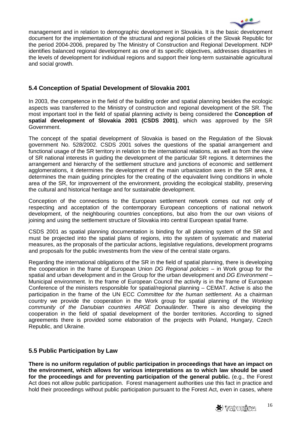

management and in relation to demographic development in Slovakia. It is the basic development document for the implementation of the structural and regional policies of the Slovak Republic for the period 2004-2006, prepared by The Ministry of Construction and Regional Development. NDP identifies balanced regional development as one of its specific objectives, addresses disparities in the levels of development for individual regions and support their long-term sustainable agricultural and social growth.

# **5.4 Conception of Spatial Development of Slovakia 2001**

In 2003, the competence in the field of the building order and spatial planning besides the ecologic aspects was transferred to the Ministry of construction and regional development of the SR. The most important tool in the field of spatial planning activity is being considered the **Conception of spatial development of Slovakia 2001 (CSDS 2001)**, which was approved by the SR Government.

The concept of the spatial development of Slovakia is based on the Regulation of the Slovak government No. 528/2002. CSDS 2001 solves the questions of the spatial arrangement and functional usage of the SR territory in relation to the international relations, as well as from the view of SR national interests in guiding the development of the particular SR regions. It determines the arrangement and hierarchy of the settlement structure and junctions of economic and settlement agglomerations, it determines the development of the main urbanization axes in the SR area, it determines the main guiding principles for the creating of the equivalent living conditions in whole area of the SR, for improvement of the environment, providing the ecological stability, preserving the cultural and historical heritage and for sustainable development.

Conception of the connections to the European settlement network comes out not only of respecting and acceptation of the contemporary European conceptions of national network development, of the neighbouring countries conceptions, but also from the our own visions of joining and using the settlement structure of Slovakia into central European spatial frame.

CSDS 2001 as spatial planning documentation is binding for all planning system of the SR and must be projected into the spatial plans of regions, into the system of systematic and material measures, as the proposals of the particular actions, legislative regulations, development programs and proposals for the public investments from the view of the central state organs.

Regarding the international obligations of the SR in the field of spatial planning, there is developing the cooperation in the frame of European Union DG Regional policies – in Work group for the spatial and urban development and in the Group for the urban development and DG Environment – Municipal environment. In the frame of European Council the activity is in the frame of European Conference of the ministers responsible for spatial/regional planning – CEMAT. Active is also the participation in the frame of the UN ECC Committee for the human settlement. As a chairman country we provide the cooperation in the Work group for spatial planning of the Working community of the Danubian countries ARGE Donauländer. There is also developing the cooperation in the field of spatial development of the border territories. According to signed agreements there is provided some elaboration of the projects with Poland, Hungary, Czech Republic, and Ukraine.

#### **5.5 Public Participation by Law**

**There is no uniform regulation of public participation in proceedings that have an impact on the environment, which allows for various interpretations as to which law should be used for the proceedings and for preventing participation of the general public.** (e.g., the Forest Act does not allow public participation. Forest management authorities use this fact in practice and hold their proceedings without public participation pursuant to the Forest Act, even in cases, where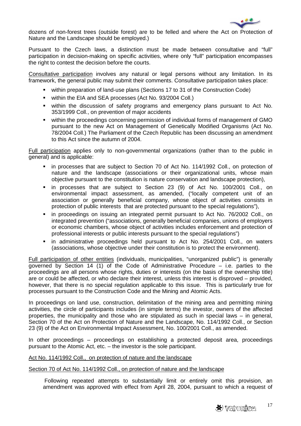

dozens of non-forest trees (outside forest) are to be felled and where the Act on Protection of Nature and the Landscape should be employed.)

Pursuant to the Czech laws, a distinction must be made between consultative and "full" participation in decision-making on specific activities, where only "full" participation encompasses the right to contest the decision before the courts.

Consultative participation involves any natural or legal persons without any limitation. In its framework, the general public may submit their comments. Consultative participation takes place:

- within preparation of land-use plans (Sections 17 to 31 of the Construction Code)
- within the EIA and SEA processes (Act No. 93/2004 Coll.)
- within the discussion of safety programs and emergency plans pursuant to Act No. 353/1999 Coll., on prevention of major accidents
- within the proceedings concerning permission of individual forms of management of GMO pursuant to the new Act on Management of Genetically Modified Organisms (Act No. 78/2004 Coll.) The Parliament of the Czech Republic has been discussing an amendment to this Act since the autumn of 2004.

Full participation applies only to non-governmental organizations (rather than to the public in general) and is applicable:

- in processes that are subject to Section 70 of Act No. 114/1992 Coll., on protection of nature and the landscape (associations or their organizational units, whose main objective pursuant to the constitution is nature conservation and landscape protection),
- in processes that are subject to Section 23 (9) of Act No. 100/2001 Coll., on environmental impact assessment, as amended, ("locally competent unit of an association or generally beneficial company, whose object of activities consists in protection of public interests that are protected pursuant to the special regulations"),
- in proceedings on issuing an integrated permit pursuant to Act No. 76/2002 Coll., on integrated prevention ("associations, generally beneficial companies, unions of employers or economic chambers, whose object of activities includes enforcement and protection of professional interests or public interests pursuant to the special regulations")
- in administrative proceedings held pursuant to Act No. 254/2001 Coll., on waters (associations, whose objective under their constitution is to protect the environment).

Full participation of other entities (individuals, municipalities, "unorganized public") is generally governed by Section 14 (1) of the Code of Administrative Procedure – i.e. parties to the proceedings are all persons whose rights, duties or interests (on the basis of the ownership title) are or could be affected, or who declare their interest, unless this interest is disproved – provided, however, that there is no special regulation applicable to this issue. This is particularly true for processes pursuant to the Construction Code and the Mining and Atomic Acts.

In proceedings on land use, construction, delimitation of the mining area and permitting mining activities, the circle of participants includes (in simple terms) the investor, owners of the affected properties, the municipality and those who are stipulated as such in special laws – in general, Section 70 of the Act on Protection of Nature and the Landscape, No. 114/1992 Coll., or Section 23 (9) of the Act on Environmental Impact Assessment, No. 100/2001 Coll., as amended.

In other proceedings – proceedings on establishing a protected deposit area, proceedings pursuant to the Atomic Act, etc. – the investor is the sole participant.

#### Act No. 114/1992 Coll., on protection of nature and the landscape

#### Section 70 of Act No. 114/1992 Coll., on protection of nature and the landscape

 Following repeated attempts to substantially limit or entirely omit this provision, an amendment was approved with effect from April 28, 2004, pursuant to which a request of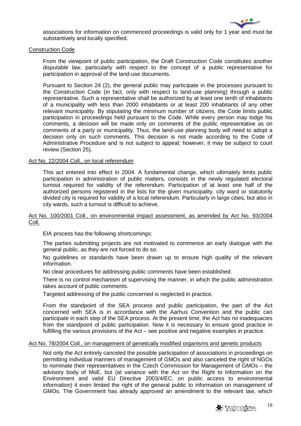

associations for information on commenced proceedings is valid only for 1 year and must be substantively and locally specified.

#### Construction Code

From the viewpoint of public participation, the Draft Construction Code constitutes another disputable law, particularly with respect to the concept of a public representative for participation in approval of the land-use documents.

Pursuant to Section 24 (2), the general public may participate in the processes pursuant to the Construction Code (in fact, only with respect to land-use planning) through a public representative. Such a representative shall be authorized by at least one tenth of inhabitants of a municipality with less than 2000 inhabitants or at least 200 inhabitants of any other relevant municipality. By stipulating the minimum number of citizens, the Code limits public participation in proceedings held pursuant to the Code. While every person may lodge his comments, a decision will be made only on comments of the public representative as on comments of a party or municipality. Thus, the land-use planning body will need to adopt a decision only on such comments. This decision is not made according to the Code of Administrative Procedure and is not subject to appeal; however, it may be subject to court review (Section 25).

#### Act No. 22/2004 Coll., on local referendum

This act entered into effect in 2004. A fundamental change, which ultimately limits public participation in administration of public matters, consists in the newly regulated electoral turnout required for validity of the referendum. Participation of at least one half of the authorized persons registered in the lists for the given municipality, city ward or statutorily divided city is required for validity of a local referendum. Particularly in large cities, but also in city wards, such a turnout is difficult to achieve.

#### Act No. 100/2001 Coll., on environmental impact assessment, as amended by Act No. 93/2004 Coll.

EIA process has the following shortcomings:

The parties submitting projects are not motivated to commence an early dialogue with the general public, as they are not forced to do so.

No guidelines or standards have been drawn up to ensure high quality of the relevant information.

No clear procedures for addressing public comments have been established.

There is no control mechanism of supervising the manner, in which the public administration takes account of public comments.

Targeted addressing of the public concerned is neglected in practice.

From the standpoint of the SEA process and public participation, the part of the Act concerned with SEA is in accordance with the Aarhus Convention and the public can participate in each step of the SEA process. At the present time, the Act has no inadequacies from the standpoint of public participation. Now it is necessary to ensure good practice in fulfilling the various provisions of the Act – see positive and negative examples in practice.

#### Act No. 78/2004 Coll., on management of genetically modified organisms and genetic products

Not only the Act entirely canceled the possible participation of associations in proceedings on permitting individual manners of management of GMOs and also canceled the right of NGOs to nominate their representatives in the Czech Commission for Management of GMOs – the advisory body of MoE, but (at variance with the Act on the Right to Information on the Environment and valid EU Directive 2003/4/EC, on public access to environmental information) it even limited the right of the general public to information on management of GMOs. The Government has already approved an amendment to the relevant law, which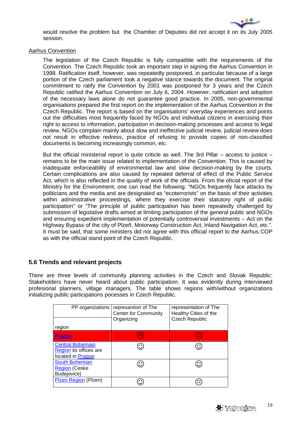

would resolve the problem but the Chamber of Deputies did not accept it on its July 2005 session.

#### Aarhus Convention

The legislation of the Czech Republic is fully compatible with the requirements of the Convention. The Czech Republic took an important step in signing the Aarhus Convention in 1998. Ratification itself, however, was repeatedly postponed, in particular because of a large portion of the Czech parliament took a negative stance towards the document. The original commitment to ratify the Convention by 2001 was postponed for 3 years and the Czech Republic ratified the Aarhus Convention on July 6, 2004. However, ratification and adoption of the necessary laws alone do not guarantee good practice. In 2005, non-governmental organisations prepared the first report on the implementation of the Aarhus Convention in the Czech Republic. The report is based on the organisations' everyday experiences and points out the difficulties most frequently faced by NGOs and individual citizens in exercising their right to access to information, participation in decision-making processes and access to legal review. NGOs complain mainly about slow and ineffective judicial review, judicial review does not result in effective redress, practice of refusing to provide copies of non-classified documents is becoming increasingly common, etc.

But the official ministerial report is quite criticle as well. The 3rd Pillar – access to justice – remains to be the main issue related to implementation of the Convention. This is caused by inadequate enforceability of environmental law and slow decision-making by the courts. Certain complications are also caused by repeated deferral of effect of the Public Service Act, which is also reflected in the quality of work of the officials. From the oficial report of the Ministry for the Environment, one can read the following: "NGOs frequently face attacks by politicians and the media and are designated as "ecoterrorists" on the basis of their activities within administrative proceedings, where they exercise their statutory right of public participation" or "The principle of public participation has been repeatedly challenged by submission of legislative drafts aimed at limiting participation of the general public and NGOs and ensuring expedient implementation of potentially controversial investments – Act on the Highway Bypass of the city of Plzeň, Motorway Construction Act, Inland Navigation Act, etc.". It must be said, that some ministers did not agree with this official report to the Aarhus COP as with the official stand point of the Czech Republic.

## **5.6 Trends and relevant projects**

There are three levels of community planning activities in the Czech and Slovak Republic: Stakeholders have never heard about public participation. It was evidently during interviewed profesional planners, village managers. The table shows regions with/without organizations initializing public participations pocesses in Czech Republic.

| PP organizations                                                       | represantion of The<br><b>Center for Community</b><br>Organizing | representation of The<br>Healthy Cities of the<br><b>Czech Republic</b> |
|------------------------------------------------------------------------|------------------------------------------------------------------|-------------------------------------------------------------------------|
| region                                                                 |                                                                  |                                                                         |
| Prague                                                                 | $\cdot$ .                                                        | $\blacksquare$                                                          |
| <b>Central Bohemian</b><br>Region its offices are<br>located in Prague |                                                                  |                                                                         |
| <b>South Bohemian</b><br><b>Region (Ceske</b><br>Budejovice)           |                                                                  |                                                                         |
| Plzen Region (Plzen)                                                   |                                                                  |                                                                         |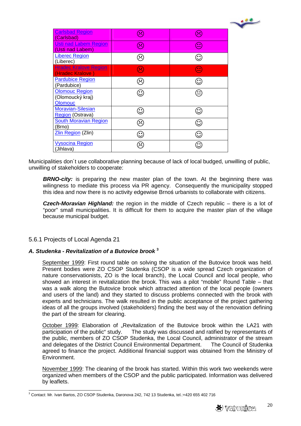| <b>Carlsbad Region</b><br>(Carlsbad)                        | $\left( \frac{1}{2} \right)$ | $(\succ$                            |
|-------------------------------------------------------------|------------------------------|-------------------------------------|
| <b>Usti nad Labem Region</b><br>(Usti nad Labem)            | $\left(\ddot{\sim}\right)$   | $\left( \underline{\cdots} \right)$ |
| <b>Liberec Region</b><br>(Liberec)                          | $\approx$                    | $\mathbf{C}$                        |
| <b>Hradec Kralove Region</b><br>(Hradec Kralove)            | <b>R</b>                     | $\equiv$                            |
| <b>Pardubice Region</b><br>(Pardubice)                      | $\approx$                    | $\mathbf{C}$                        |
| <b>Olomouc Region</b><br>(Olomoucký kraj)<br><b>Olomouc</b> | ↺                            | ≝                                   |
| <b>Moravian-Silesian</b><br>Region (Ostrava)                | $\mathbf{\hat{C}}$           | $\mathbf{\hat{c}}$                  |
| <b>South Moravian Region</b><br>(Brno)                      | $\widehat{\mathbb{C}}$       | $\mathbf{C}$                        |
| Zlin Region (Zlin)                                          | $\mathbf{C}$                 | $\mathbf{\hat{c}}$                  |
| <b>Vysocina Region</b><br>(Jihlava)                         | $\approx$                    | $\mathbb{C}^{\bullet}$              |

Municipalities don´t use collaborative planning because of lack of local budged, unwilling of public, unwilling of stakeholders to cooperate:

**BRNO-city:** is preparing the new master plan of the town. At the beginning there was wilingness to mediate this process via PR agency. Consequently the municipality stopped this idea and now there is no activity edgewise Brnoś urbanists to collaborate with citizens.

**Czech-Moravian Highland:** the region in the middle of Czech republic – there is a lot of "poor" small municipalities. It is difficult for them to acquire the master plan of the village because municipal budget.

#### 5.6.1 Projects of Local Agenda 21

## **A. Studenka - Revitalization of a Butovice brook <sup>3</sup>**

September 1999: First round table on solving the situation of the Butovice brook was held. Present bodies were ZO CSOP Studenka (CSOP is a wide spread Czech organization of nature conservationists, ZO is the local branch), the Local Council and local people, who showed an interest in revitalization the brook. This was a pilot "mobile" Round Table – that was a walk along the Butovice brook which attracted attention of the local people (owners and users of the land) and they started to discuss problems connected with the brook with experts and technicians. The walk resulted in the public acceptance of the project gathering ideas of all the groups involved (stakeholders) finding the best way of the renovation defining the part of the stream for clearing.

October 1999: Elaboration of "Revitalization of the Butovice brook within the LA21 with participation of the public" study. The study was discussed and ratified by representants of the public, members of ZO CSOP Studenka, the Local Council, administrator of the stream and delegates of the District Council Environmental Department. The Council of Studenka agreed to finance the project. Additional financial support was obtained from the Ministry of Environment.

November 1999: The cleaning of the brook has started. Within this work two weekends were organized when members of the CSOP and the public participated. Information was delivered by leaflets.

 $\overline{a}$  $3$  Contact: Mr. Ivan Bartos, ZO CSOP Studenka, Daronova 242, 742 13 Studenka, tel.:+420 655 402 716



 $\cdot$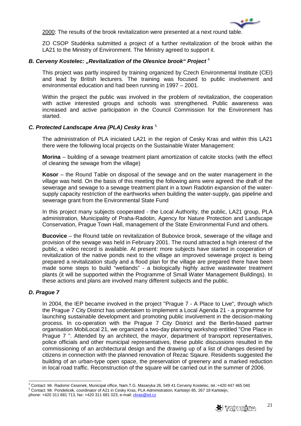

2000: The results of the brook revitalization were presented at a next round table.

ZO CSOP Studénka submitted a project of a further revitalization of the brook within the LA21 to the Ministry of Environment. The Ministry agreed to support it.

#### **B. Cerveny Kostelec: "Revitalization of the Olesnice brook" Project<sup>4</sup>**

This project was partly inspired by training organized by Czech Environmental Institute (CEI) and lead by British lecturers. The training was focused to public involvement and environmental education and had been running in 1997 – 2001.

Within the project the public was involved in the problem of revitalization, the cooperation with active interested groups and schools was strengthened. Public awareness was increased and active participation in the Council Commission for the Environment has started.

#### **C. Protected Landscape Area (PLA) Cesky kras** <sup>5</sup>

The administration of PLA iniciated LA21 in the region of Cesky Kras and within this LA21 there were the following local projects on the Sustainable Water Management:

**Morina** – building of a sewage treatment plant amortization of calcite stocks (with the effect of cleaning the sewage from the village)

**Kosor** – the Round Table on disposal of the sewage and on the water management in the village was held. On the basis of this meeting the following aims were agreed: the draft of the sewerage and sewage to a sewage treatment plant in a town Radotin expansion of the watersupply capacity restriction of the earthworks when building the water-supply, gas pipeline and sewerage grant from the Environmental State Fund

In this project many subjects cooperated - the Local Authority, the public, LA21 group, PLA administration, Municipality of Praha-Radotin, Agency for Nature Protection and Landscape Conservation, Prague Town Hall, management of the State Environmental Fund and others.

**Bucovice** – the Round table on revitalization of Bubovice brook, sewerage of the village and provision of the sewage was held in February 2001. The round attracted a high interest of the public, a video record is available. At present: more subjects have started in cooperation of revitalization of the native ponds next to the village an improved sewerage project is being prepared a revitalization study and a flood plan for the village are prepared there have been made some steps to build "wetlands" - a biologically highly active wastewater treatment plants (it will be supported within the Programme of Small Water Management Buildings). In these actions and plans are involved many different subjects and the public.

#### **D. Prague 7**

 $\overline{a}$ 

In 2004, the IEP became involved in the project "Prague 7 - A Place to Live", through which the Prague 7 City District has undertaken to implement a Local Agenda 21 - a programme for launching sustainable development and promoting public involvement in the decision-making process. In co-operation with the Prague 7 City District and the Berlin-based partner organisation MobiLocal 21, we organized a two-day planning workshop entitled "One Place in Prague 7 ". Attended by an architect, the mayor, department of transport representatives, police officials and other municipal representatives, these public discussions resulted in the commissioning of an architectural design and the drawing up of a list of changes desired by citizens in connection with the planned renovation of Rezac Sqaure. Residents suggested the building of an urban-type open space, the preservation of greenery and a marked reduction in local road traffic. Reconstruction of the square will be carried out in the summer of 2006.

<sup>4</sup> Contact: Mr. Radomir Cesenek, Municipal office, Nam.T.G. Masaryka 26, 549 41 Cerveny Kostelec, tel.:+420 447 465 040 5 Contact: Mr. Pondelicek, coordinator of A21 in Cesky Kras, PLA Administration, Karlstejn 85, 267 18 Karlstejn, phone: +420 311 681 713, fax: +420 311 681 023, e-mail: *ckras@iol.cz*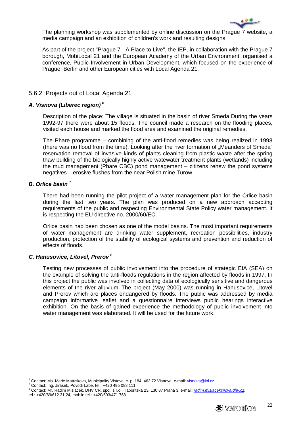

The planning workshop was supplemented by online discussion on the Prague 7 website, a media campaign and an exhibition of children's work and resulting designs.

As part of the project "Prague 7 - A Place to Live", the IEP, in collaboration with the Prague 7 borough, MobiLocal 21 and the European Academy of the Urban Environment, organised a conference, Public Involvement in Urban Development, which focused on the experience of Prague, Berlin and other European cities with Local Agenda 21.

#### 5.6.2 Projects out of Local Agenda 21

#### **A. Visnova (Liberec region) <sup>6</sup>**

Description of the place: The village is situated in the basin of river Smeda During the years 1992-97 there were about 15 floods. The council made a research on the flooding places, visited each house and marked the flood area and examined the original remedies.

The Phare programme – combining of the anti-flood remedies was being realized in 1998 (there was no flood from the time). Looking after the river formation of "Meanders of Smeda" reservation removal of invasive kinds of plants cleaning from plastic waste after the spring thaw building of the biologically highly active watewater treatment plants (wetlands) including the mud management (Phare CBC) pond management – citizens renew the pond systems negatives – erosive flushes from the near Polish mine Turow.

#### **B. Orlice basin** <sup>7</sup>

There had been running the pilot project of a water management plan for the Orlice basin during the last two years. The plan was produced on a new approach accepting requirements of the public and respecting Environmental State Policy water management. It is respecting the EU directive no. 2000/60/EC.

Orlice basin had been chosen as one of the model basins. The most important requirements of water management are drinking water supplement, recreation possibilities, industry production, protection of the stability of ecological systems and prevention and reduction of effects of floods.

#### **C. Hanusovice, Litovel, Prerov** <sup>8</sup>

Testing new processes of public involvement into the procedure of strategic EIA (SEA) on the example of solving the anti-floods regulations in the region affected by floods in 1997. In this project the public was involved in collecting data of ecologically sensitive and dangerous elements of the river alluvium. The project (May 2000) was running in Hanusovice, Litovel and Prerov which are places endangered by floods. The public was addressed by media campaign informative leaflet and a questionnaire interviews public hearings interactive exhibition. On the basis of gained experience the methodology of public involvement into water management was elaborated. It will be used for the future work.

e<br><sup>6</sup> Contact: Ms. Marie Matuskova, Municipality Vistova, c. p. 184, 463 72 Visnova, e-mail: <u>visnova@iol.cz</u>

<sup>7</sup> Contact: Ing. Jirasek, Povodi Labe, tel.: +420 495 088 111

<sup>&</sup>lt;sup>8</sup> Contact: Mr. Radim Misiacek, DHV CR, spol. s r.o., Taboritska 23, 130 87 Praha 3, e-mail: <u>radim.misiacek@ova.dhv.cz</u> tel.: +420/69/612 31 24, mobile tel.: +420/603/471 763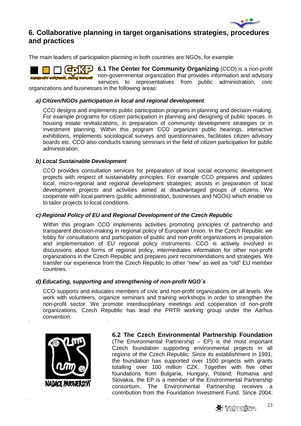

# **6. Collaborative planning in target organisations strategies, procedures and practices**

The main leaders of participation planning in both countries are NGOs, for example:

काराञ **6.1 The Center for Community Organizing** (CCO) is a non-profit non-governmental organization that provides information and advisory zapojování veřejnosti, rozvoj komunit services to representatives from public administration, civic

organizations and businesses in the following areas:

#### **a) Citizen/NGOs participation in local and regional development**

CCO designs and implements public participation programs in planning and decision-making. For example programs for citizen participation in planning and designing of public spaces, in housing estate revitalizations, in preparation of community development strategies or in investment planning. Within this program CCO organizes public hearings, interactive exhibitions, implements sociological surveys and questionnaires, facilitates citizen advisory boards etc. CCO also conducts training seminars in the field of citizen participation for public administration.

#### **b) Local Sustainable Development**

CCO provides consultation services for preparation of local social economic development projects with respect of sustainability principles. For example CCO prepares and updates local, micro-regional and regional development strategies; assists in preparation of local development projects and activities aimed at disadvantaged groups of citizens. We cooperate with local partners (public administration, businesses and NGOs) which enable us to tailor projects to local conditions.

#### **c) Regional Policy of EU and Regional Development of the Czech Republic**

Within this program CCO implements activities promoting principles of partnership and transparent decision-making in regional policy of European Union. In the Czech Republic we lobby for consultations and participation of public and non-profit organizations in preparation and implementation of EU regional policy instruments. CCO is actively involved in discussions about forms of regional policy, intermediates information for other non-profit organizations in the Czech Republic and prepares joint recommendations and strategies. We transfer our experience from the Czech Republic to other "new" as well as "old" EU member countries.

#### **d) Educating, supporting and strengthening of non-profit NGO´s**

CCO supports and educates members of civic and non-profit organizations on all levels. We work with volunteers, organize seminars and training workshops in order to strengthen the non-profit sector. We promote interdisciplinary meetings and cooperation of non-profit organizations. Czech Republic has lead the PRTR working group under the Aarhus convention.



**6.2 The Czech Environmental Partnership Foundation**  (The Environmental Partnership – EP) is the most important Czech foundation supporting environmental projects in all regions of the Czech Republic. Since its establishment in 1991, the foundation has supported over 1500 projects with grants totalling over 100 million CZK. Together with five other foundations from Bulgaria, Hungary, Poland, Romania and Slovakia, the EP is a member of the Environmental Partnership consortium. The Environmental Partnership receives a contribution from the Foundation Investment Fund. Since 2004,

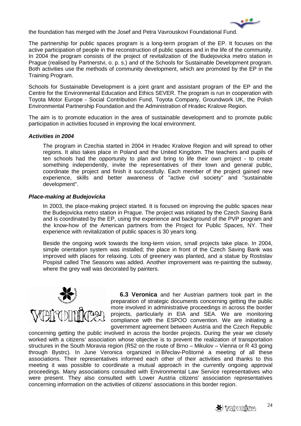

the foundation has merged with the Josef and Petra Vavrouskovi Foundational Fund.

The partnership for public spaces program is a long-term program of the EP. It focuses on the active participation of people in the reconstruction of public spaces and in the life of the community. In 2004 the program consists of the project of revitalization of the Budejovicka metro station in Prague (realised by Partnerstvi, o. p. s.) and of the Schools for Sustainable Development program. Both activities use the methods of community development, which are promoted by the EP in the Training Program.

Schools for Sustainable Development is a joint grant and assistant program of the EP and the Centre for the Environmental Education and Ethics SEVER. The program is run in cooperation with Toyota Motor Europe - Social Contribution Fund, Toyota Company, Groundwork UK, the Polish Environmental Partnership Foundation and the Administration of Hradec Kralove Region.

The aim is to promote education in the area of sustainable development and to promote public participation in activities focused in improving the local environment.

#### **Activities in 2004**

The program in Czechia started in 2004 in Hradec Kralove Region and will spread to other regions. It also takes place in Poland and the United Kingdom. The teachers and pupils of ten schools had the opportunity to plan and bring to life their own project - to create something independently, invite the representatives of their town and general public, coordinate the project and finish it successfully. Each member of the project gained new experience, skills and better awareness of "active civil society" and "sustainable development".

#### **Place-making at Budejovicka**

In 2003, the place-making project started. It is focused on improving the public spaces near the Budejovicka metro station in Prague. The project was initiated by the Czech Saving Bank and is coordinated by the EP, using the experience and background of the PVP program and the know-how of the American partners from the Project for Public Spaces, NY. Their experience with revitalization of public spaces is 30 years long.

Beside the ongoing work towards the long-term vision, small projects take place. In 2004, simple orientation system was installed; the place in front of the Czech Saving Bank was improved with places for relaxing. Lots of greenery was planted, and a statue by Rostislav Pospisil called The Seasons was added. Another improvement was re-painting the subway, where the grey wall was decorated by painters.



**6.3 Veronica** and her Austrian partners took part in the preparation of strategic documents concerning getting the public more involved in administrative proceedings in across the border projects, particularly in EIA and SEA. We are monitoring compliance with the ESPOO convention. We are initiating a government agreement between Austria and the Czech Republic

concerning getting the public involved in across the border projects. During the year we closely worked with a citizens' association whose objective is to prevent the realization of transportation structures in the South Moravia region (R52 on the route of Brno – Mikulov – Vienna or R 43 going through Bystrc). In June Veronica organized in Břeclav-Poštorné a meeting of all these associations. Their representatives informed each other of their activities and thanks to this meeting it was possible to coordinate a mutual approach in the currently ongoing approval proceedings. Many associations consulted with Environmental Law Service representatives who were present. They also consulted with Lower Austria citizens' association representatives concerning information on the activities of citizens' associations in this border region.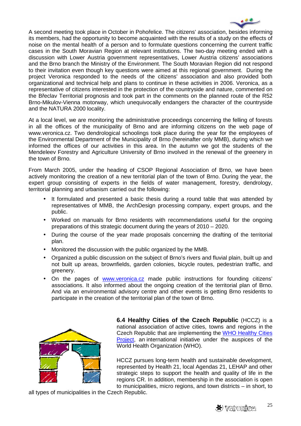

A second meeting took place in October in Pohořelice. The citizens' association, besides informing its members, had the opportunity to become acquainted with the results of a study on the effects of noise on the mental health of a person and to formulate questions concerning the current traffic cases in the South Moravian Region at relevant institutions. The two-day meeting ended with a discussion with Lower Austria government representatives, Lower Austria citizens' associations and the Brno branch the Ministry of the Environment. The South Moravian Region did not respond to their invitation even though key questions were aimed at this regional government. During the project Veronica responded to the needs of the citizens' association and also provided both organizational and technical help and plans to continue in these activities in 2006. Veronica, as a representative of citizens interested in the protection of the countryside and nature, commented on the Břeclav Territorial prognosis and took part in the comments on the planned route of the R52 Brno-Mikulov-Vienna motorway, which unequivocally endangers the character of the countryside and the NATURA 2000 locality.

At a local level, we are monitoring the administrative proceedings concerning the felling of forests in all the offices of the municipality of Brno and are informing citizens on the web page of www.veronica.cz. Two dendrological schoolings took place during the year for the employees of the Environmental Department of the Municipality of Brno (hereinafter only MMB), during which we informed the offices of our activities in this area. In the autumn we got the students of the Mendeleev Forestry and Agriculture University of Brno involved in the renewal of the greenery in the town of Brno.

From March 2005, under the heading of CSOP Regional Association of Brno, we have been actively monitoring the creation of a new territorial plan of the town of Brno. During the year, the expert group consisting of experts in the fields of water management, forestry, dendrology, territorial planning and urbanism carried out the following:

- It formulated and presented a basic thesis during a round table that was attended by representatives of MMB, the ArchDesign processing company, expert groups, and the public.
- Worked on manuals for Brno residents with recommendations useful for the ongoing preparations of this strategic document during the years of 2010 – 2020.
- During the course of the year made proposals concerning the drafting of the territorial plan.
- Monitored the discussion with the public organized by the MMB.
- Organized a public discussion on the subject of Brno's rivers and fluvial plain, built up and not built up areas, brownfields, garden colonies, bicycle routes, pedestrian traffic, and greenery.
- On the pages of www.veronica.cz made public instructions for founding citizens' associations. It also informed about the ongoing creation of the territorial plan of Brno. And via an environmental advisory centre and other events is getting Brno residents to participate in the creation of the territorial plan of the town of Brno.



**6.4 Healthy Cities of the Czech Republic** (HCCZ) is a national association of active cities, towns and regions in the Czech Republic that are implementing the WHO Healthy Cities Project, an international initiative under the auspices of the World Health Organization (WHO).

HCCZ pursues long-term health and sustainable development, represented by Health 21, local Agendas 21, LEHAP and other strategic steps to support the health and quality of life in the regions CR. In addition, membership in the association is open to municipalities, micro regions, and town districts – in short, to

all types of municipalities in the Czech Republic.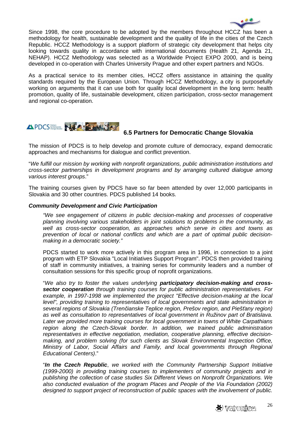

Since 1998, the core procedure to be adopted by the members throughout HCCZ has been a methodology for health, sustainable development and the quality of life in the cities of the Czech Republic. HCCZ Methodology is a support platform of strategic city development that helps city looking towards quality in accordance with international documents (Health 21, Agenda 21, NEHAP). HCCZ Methodology was selected as a Worldwide Project EXPO 2000, and is being developed in co-operation with Charles University Prague and other expert partners and NGOs.

As a practical service to its member cities, HCCZ offers assistance in attaining the quality standards required by the European Union. Through HCCZ Methodology, a city is purposefully working on arguments that it can use both for quality local development in the long term: health promotion, quality of life, sustainable development, citizen participation, cross-sector management and regional co-operation.

# APDCS NAPA

# **6.5 Partners for Democratic Change Slovakia**

The mission of PDCS is to help develop and promote culture of democracy, expand democratic approaches and mechanisms for dialogue and conflict prevention.

"We fulfill our mission by working with nonprofit organizations, public administration institutions and cross-sector partnerships in development programs and by arranging cultured dialogue among various interest groups."

The training courses given by PDCS have so far been attended by over 12,000 participants in Slovakia and 30 other countries. PDCS published 14 books.

#### **Community Development and Civic Participation**

"We see engagement of citizens in public decision-making and processes of cooperative planning involving various stakeholders in joint solutions to problems in the community, as well as cross-sector cooperation, as approaches which serve in cities and towns as prevention of local or national conflicts and which are a part of optimal public decisionmaking in a democratic society."

PDCS started to work more actively in this program area in 1996, in connection to a joint program with ETP Slovakia "Local Initiatives Support Program". PDCS then provided training of staff in community initiatives, a training series for community leaders and a number of consultation sessions for this specific group of noprofit organizations.

"We also try to foster the values underlying **participatory decision-making and crosssector cooperation** through training courses for public administration representatives. For example, in 1997-1998 we implemented the project "Effective decision-making at the local level", providing training to representatives of local governments and state administration in several regions of Slovakia (Trenčianske Teplice region, Prešov region, and Piešťany region) as well as consultation to representatives of local government in Ružinov part of Bratislava. Later we provided more training courses for local government in towns of White Carpathians region along the Czech-Slovak border. In addition, we trained public administration representatives in effective negotiation, mediation, cooperative planning, effective decisionmaking, and problem solving (for such clients as Slovak Environmental Inspection Office, Ministry of Labor, Social Affairs and Family, and local governments through Regional Educational Centers)."

"**In the Czech Republic**, we worked with the Community Partnership Support Initiative (1999-2000) in providing training courses to implementers of community projects and in publishing the collection of case studies Six Different Views on Nonprofit Organizations. We also conducted evaluation of the program Places and People of the Via Foundation (2002) designed to support project of reconstruction of public spaces with the involvement of public.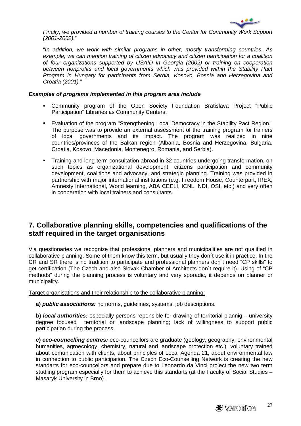

Finally, we provided a number of training courses to the Center for Community Work Support (2001-2002)."

"In addition, we work with similar programs in other, mostly transforming countries. As example, we can mention training of citizen advocacy and citizen participation for a coalition of four organizations supported by USAID in Georgia (2002) or training on cooperation between nonprofits and local governments which was provided within the Stability Pact Program in Hungary for participants from Serbia, Kosovo, Bosnia and Herzegovina and Croatia (2001)."

#### **Examples of programs implemented in this program area include**

- Community program of the Open Society Foundation Bratislava Project "Public Participation" Libraries as Community Centers.
- Evaluation of the program "Strengthening Local Democracy in the Stability Pact Region." The purpose was to provide an external assessment of the training program for trainers of local governments and its impact. The program was realized in nine countries/provinces of the Balkan region (Albania, Bosnia and Herzegovina, Bulgaria, Croatia, Kosovo, Macedonia, Montenegro, Romania, and Serbia).
- Training and long-term consultation abroad in 32 countries undergoing transformation, on such topics as organizational development, citizens participation and community development, coalitions and advocacy, and strategic planning. Training was provided in partnership with major international institutions (e.g. Freedom House, Counterpart, IREX, Amnesty International, World learning, ABA CEELI, ICNL, NDI, OSI, etc.) and very often in cooperation with local trainers and consultants.

# **7. Collaborative planning skills, competencies and qualifications of the staff required in the target organisations**

Via questionaries we recognize that professional planners and municipalities are not qualified in collaborative planning. Some of them know this term, but usually they don´t use it in practice. In the CR and SR there is no tradition to participate and professional planners don´t need "CP skills" to get certification (The Czech and also Slovak Chamber of Architects don´t require it). Using of "CP methods" during the planning process is voluntary and very sporadic, it depends on planner or municipality.

Target organisations and their relationship to the collaborative planning:

**a) public associations:** no norms, guidelines, systems, job descriptions.

**b) local authorities:** especially persons reponsible for drawing of territorial plannig – university degree focused territorial or landscape planning; lack of willingness to support public participation during the process.

**c) eco-councelling centres:** eco-councellors are graduate (geology, geography, environmental humanities, agroecology, chemistry, natural and landscape protection etc.), voluntary trained about comunication with clients, about principles of Local Agenda 21, about environmental law in connection to public participation. The Czech Eco-Counselling Network is creating the new standarts for eco-councellors and prepare due to Leonardo da Vinci project the new two term studiing program especially for them to achieve this standarts (at the Faculty of Social Studies – Masaryk University in Brno).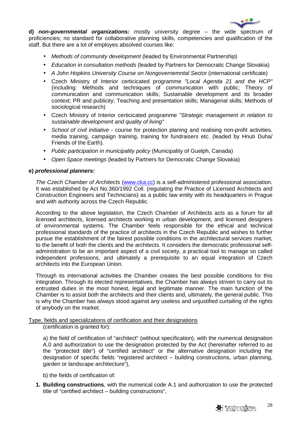

**d) non-governmental organizations:** mostly university degree – the wide spectrum of proficiencies; no standard for collaborative planning skills, competencies and qualification of the staff. But there are a lot of employes absolved courses like:

- Methods of community development (leaded by Environmental Partnership)
- Education in consultation methods (leaded by Partners for Democratic Change Slovakia)
- A John Hopkins University Course on Nongovernemntal Sector (international certificate)
- Czech Ministry of Interior certicicated programme "Local Agenda 21 and the HCP" (including: Methods and techniques of communication with public; Theory of communication and communication skills; Sustainable development and its broader context; PR and publicity; Teaching and presentation skills; Managerial skills; Methods of sociological research)
- Czech Ministry of Interior certicicated programme "Strategic management in relation to sustainable development and quality of living"
- School of civil initiative course for protection planing and realising non-profit activities, media training, campaign training, training for fundraisers etc. (leaded by Hnuti Duha/ Friends of the Earth).
- Public participation in municipality policy (Municipality of Guelph, Canada)
- Open Space meetings (leaded by Partners for Democratic Change Slovakia)

#### **e) professional planners:**

The Czech Chamber of Architects (www.cka.cc) is a self-administered professional association. It was established by Act No.360/1992 Coll. (regulating the Practice of Licensed Architects and Construction Engineers and Technicians) as a public law entity with its headquarters in Prague and with authority across the Czech Republic.

According to the above legislation, the Czech Chamber of Architects acts as a forum for all licensed architects, licensed architects working in urban development, and licensed designers of environmental systems. The Chamber feels responsible for the ethical and technical professional standards of the practice of architects in the Czech Republic and wishes to further pursue the establishment of the fairest possible conditions in the architectural services market, to the benefit of both the clients and the architects. It considers the democratic professional selfadministration to be an important aspect of a civil society, a practical tool to manage so called independent professions, and ultimately a prerequisite to an equal integration of Czech architects into the European Union.

Through its international activities the Chamber creates the best possible conditions for this integration. Through its elected representatives, the Chamber has always striven to carry out its entrusted duties in the most honest, legal and legitimate manner. The main function of the Chamber is to assist both the architects and their clients and, ultimately, the general public. This is why the Chamber has always stood against any useless and unjustified curtailing of the rights of anybody on the market.

#### Type, fields and specializations of certification and their designations

(certification is granted for):

a) the field of certification of "architect" (without specification), with the numerical designation A.0 and authorization to use the designation protected by the Act (hereinafter referred to as the "protected title") of "certified architect" or the alternative designation including the designation of specific fields "registered architect – building constructions, urban planning, garden or landscape architecture"),

b) the fields of certification of:

**1. Building constructions**, with the numerical code A.1 and authorization to use the protected title of "certified architect – building constructions",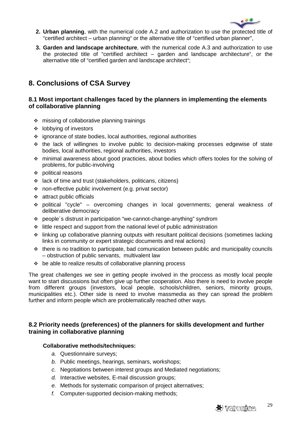

- **2. Urban planning**, with the numerical code A.2 and authorization to use the protected title of "certified architect – urban planning" or the alternative title of "certified urban planner",
- **3. Garden and landscape architecture**, with the numerical code A.3 and authorization to use the protected title of "certified architect – garden and landscape architecture", or the alternative title of "certified garden and landscape architect";

# **8. Conclusions of CSA Survey**

## **8.1 Most important challenges faced by the planners in implementing the elements of collaborative planning**

- $\div$  missing of collaborative planning trainings
- lobbying of investors
- ignorance of state bodies, local authorities, regional authorities
- $\div$  the lack of willingnes to involve public to decision-making processes edgewise of state bodies, local authorities, regional authorities, investors
- minimal awareness about good practicies, about bodies which offers tooles for the solving of problems, for public-involving
- political reasons
- lack of time and trust (stakeholders, politicans, citizens)
- non-effective public involvement (e.g. privat sector)
- $\div$  attract public officials
- political "cycle" overcoming changes in local governments; general weakness of deliberative democracy
- people´s distrust in participation "we-cannot-change-anything" syndrom
- $\div$  little respect and support from the national level of public administration
- linking up collaborative planning outputs with resultant political decisions (sometimes lacking links in community or expert strategic documents and real actions)
- $\cdot\cdot\cdot$  there is no tradition to participate, bad comunication between public and municipality councils – obstruction of public servants, multivalent law
- $\div$  be able to realize results of collaborative planning process

The great challenges we see in getting people involved in the proccess as mostly local people want to start discussions but often give up further cooperation. Also there is need to involve people from different groups (investors, local people, schools/children, seniors, minority groups, municipalities etc.). Other side is need to involve massmedia as they can spread the problem further and inform people which are problematically reached other ways.

# **8.2 Priority needs (preferences) of the planners for skills development and further training in collaborative planning**

#### **Collaborative methods/techniques:**

- a. Questionnaire surveys;
- b. Public meetings, hearings, seminars, workshops;
- c. Negotiations between interest groups and Mediated negotiations;
- d. Interactive websites, E-mail discussion groups;
- e. Methods for systematic comparison of project alternatives;
- f. Computer-supported decision-making methods;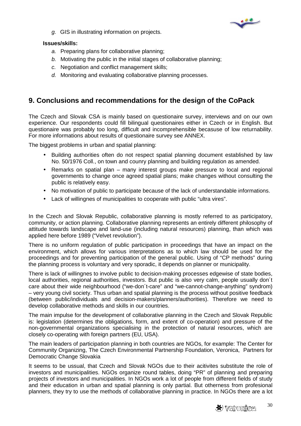

g. GIS in illustrating information on projects.

## **Issues/skills:**

- a. Preparing plans for collaborative planning;
- b. Motivating the public in the initial stages of collaborative planning;
- c. Negotiation and conflict management skills;
- d. Monitoring and evaluating collaborative planning processes.

# **9. Conclusions and recommendations for the design of the CoPack**

The Czech and Slovak CSA is mainly based on questionaire survey, interviews and on our own experience. Our respondents could fill bilingual questionaires either in Czech or in English. But questionaire was probably too long, difficult and incomprehensible becasuse of low returnability. For more informations about results of questionaire survey see ANNEX.

The biggest problems in urban and spatial planning:

- Building authorities often do not respect spatial planning document established by law No. 50/1976 Coll., on town and counry planning and building regulation as amended.
- Remarks on spatial plan many interest groups make pressure to local and regional governments to change once agreed spatial plans; make changes without consulting the public is relatively easy.
- No motivation of public to participate because of the lack of understandable informations.
- Lack of willingnes of municipalities to cooperate with public "ultra vires".

In the Czech and Slovak Republic, collaborative planning is mostly referred to as participatory, community, or action planning. Collaborative planning represents an entirely different philosophy of attitude towards landscape and land-use (including natural resources) planning, than which was applied here before 1989 ("Velvet revolution").

There is no uniform regulation of public participation in proceedings that have an impact on the environment, which allows for various interpretations as to which law should be used for the proceedings and for preventing participation of the general public. Using of "CP methods" during the planning process is voluntary and very sporadic, it depends on planner or municipality.

There is lack of willingnes to involve public to decision-making processes edgewise of state bodies, local authorities, regional authorities, investors. But public is also very calm, people usually don´t care about their wide neighbourhood ("we-don´t-care" and "we-cannot-change-anything" syndrom) – very young civil society. Thus urban and spatial planning is the process without positive feedback (between public/individuals and decision-makers/planners/authorities). Therefore we need to develop collaborative methods and skills in our countries.

The main impulse for the development of collaborative planning in the Czech and Slovak Republic is: legislation (determines the obligations, form, and extent of co-operation) and pressure of the non-governmental organizations specialising in the protection of natural resources, which are closely co-operating with foreign partners (EU, USA).

The main leaders of participation planning in both countries are NGOs, for example: The Center for Community Organizing, The Czech Environmental Partnership Foundation, Veronica, Partners for Democratic Change Slovakia

It seems to be ussual, that Czech and Slovak NGOs due to their acitivites substitute the role of investors and municipalities. NGOs organize round tables, doing "PR" of planning and preparing projects of investors and municipalities. In NGOs work a lot of people from different fields of study and their education in urban and spatial planning is only partial. But otherness from profesional planners, they try to use the methods of collaborative planning in practice. In NGOs there are a lot

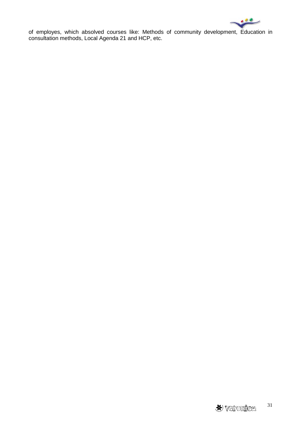ق م

of employes, which absolved courses like: Methods of community development, Education in consultation methods, Local Agenda 21 and HCP, etc.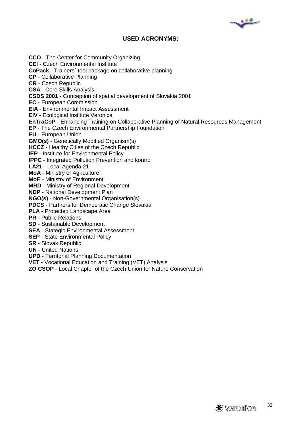

# **USED ACRONYMS:**

**CCO** - The Center for Community Organizing **CEI** - Czech Environmental Institute **CoPack** - Trainers´ tool package on collaborative planning **CP** - Collaborative Planning **CR** - Czech Republic **CSA** - Core Skills Analysis **CSDS 2001** - Conception of spatial development of Slovakia 2001 **EC** - European Commission **EIA** - Environmental Impact Assessment **EIV** - Ecological Institute Veronica **EnTraCoP** - Enhancing Training on Collaborative Planning of Natural Resources Management **EP** - The Czech Environmental Partnership Foundation **EU** - European Union **GMO(s)** - Genetically Modified Organism(s) **HCCZ** - Healthy Cities of the Czech Republic **IEP** - Institute for Environmental Policy **IPPC** - Integrated Pollution Prevention and kontrol **LA21** - Local Agenda 21 **MoA** - Ministry of Agriculture **MoE** - Ministry of Environment **MRD** - Ministry of Regional Development **NDP** - National Development Plan **NGO(s)** - Non-Governmental Organisation(s) **PDCS** - Partners for Democratic Change Slovakia **PLA** - Protected Landscape Area **PR** - Public Relations **SD** - Sustainable Development **SEA** - Stategic Environmental Assessment **SEP** - State Environmental Policy **SR** - Slovak Republic **UN** - United Nations

- **UPD**  Territorial Planning Documentation
- **VET** Vocational Education and Training (VET) Analysis
- **ZO CSOP** Local Chapter of the Czech Union for Nature Conservation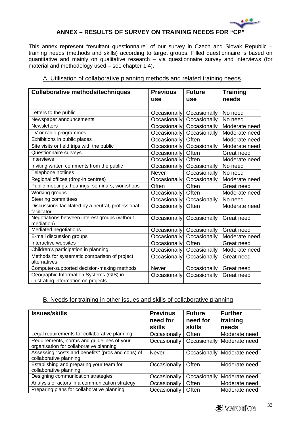

# **ANNEX – RESULTS OF SURVEY ON TRAINING NEEDS FOR "CP"**

This annex represent "resultant questionnaire" of our survey in Czech and Slovak Republic – training needs (methods and skills) according to target groups. Filled questionnaire is based on quantitative and mainly on qualitative research – via questionnaire survey and interviews (for material and methodology used – see chapter 1.4).

| A. Utilisation of collaborative planning methods and related training needs |  |  |  |
|-----------------------------------------------------------------------------|--|--|--|
|                                                                             |  |  |  |

| <b>Collaborative methods/techniques</b>                                         | <b>Previous</b>     | <b>Future</b> | <b>Training</b> |
|---------------------------------------------------------------------------------|---------------------|---------------|-----------------|
|                                                                                 | use                 | use           | needs           |
| Letters to the public                                                           | Occasionally        | Occasionally  | No need         |
| Newspaper announcements                                                         | <b>Occasionally</b> | Occasionally  | No need         |
| <b>Newsletters</b>                                                              | Occasionally        | Occasionally  | Moderate need   |
| TV or radio programmes                                                          | Occasionally        | Occasionally  | Moderate need   |
| Exhibitions in public places                                                    | Occasionally        | Often         | Moderate need   |
| Site visits or field trips with the public                                      | Occasionally        | Occasionally  | Moderate need   |
| Questionnaire surveys                                                           | Occasionally        | Often         | Great need      |
| <b>Interviews</b>                                                               | Occasionally        | Often         | Moderate need   |
| Inviting written comments from the public                                       | Occasionally        | Occasionally  | No need         |
| <b>Telephone hotlines</b>                                                       | <b>Never</b>        | Occasionally  | No need         |
| Regional offices (drop-in centres)                                              | Occasionally        | Occasionally  | Moderate need   |
| Public meetings, hearings, seminars, workshops                                  | Often               | Often         | Great need      |
| Working groups                                                                  | Occasionally        | Often         | Moderate need   |
| <b>Steering committees</b>                                                      | Occasionally        | Occasionally  | No need         |
| Discussions facilitated by a neutral, professional<br>facilitator               | Occasionally        | Often         | Moderate need   |
| Negotiations between interest groups (without<br>mediation)                     | Occasionally        | Occasionally  | Great need      |
| Mediated negotiations                                                           | Occasionally        | Occasionally  | Great need      |
| E-mail discussion groups                                                        | <b>Occasionally</b> | Occasionally  | Moderate need   |
| Interactive websites                                                            | Occasionally        | Often         | Great need      |
| Children's participation in planning                                            | Occasionally        | Occasionally  | Moderate need   |
| Methods for systematic comparison of project<br>alternatives                    | Occasionally        | Occasionally  | Great need      |
| Computer-supported decision-making methods                                      | <b>Never</b>        | Occasionally  | Great need      |
| Geographic Information Systems (GIS) in<br>illustrating information on projects | Occasionally        | Occasionally  | Great need      |

# B. Needs for training in other issues and skills of collaborative planning

| <b>Issues/skills</b>                                                                  | <b>Previous</b><br>need for<br><b>skills</b> | <b>Future</b><br>need for<br><b>skills</b> | <b>Further</b><br>training<br>needs |
|---------------------------------------------------------------------------------------|----------------------------------------------|--------------------------------------------|-------------------------------------|
| Legal requirements for collaborative planning                                         | Occasionally                                 | Often                                      | Moderate need                       |
| Requirements, norms and guidelines of your<br>organisation for collaborative planning | Occasionally                                 | Occasionally                               | Moderate need                       |
| Assessing "costs and benefits" (pros and cons) of<br>collaborative planning           | <b>Never</b>                                 |                                            | Occasionally Moderate need          |
| Establishing and preparing your team for<br>collaborative planning                    | Occasionally                                 | Often                                      | Moderate need                       |
| Designing communication strategies                                                    | Occasionally                                 | Occasionally                               | Moderate need                       |
| Analysis of actors in a communication strategy                                        | Occasionally                                 | Often                                      | Moderate need                       |
| Preparing plans for collaborative planning                                            | Occasionally                                 | Often                                      | Moderate need                       |